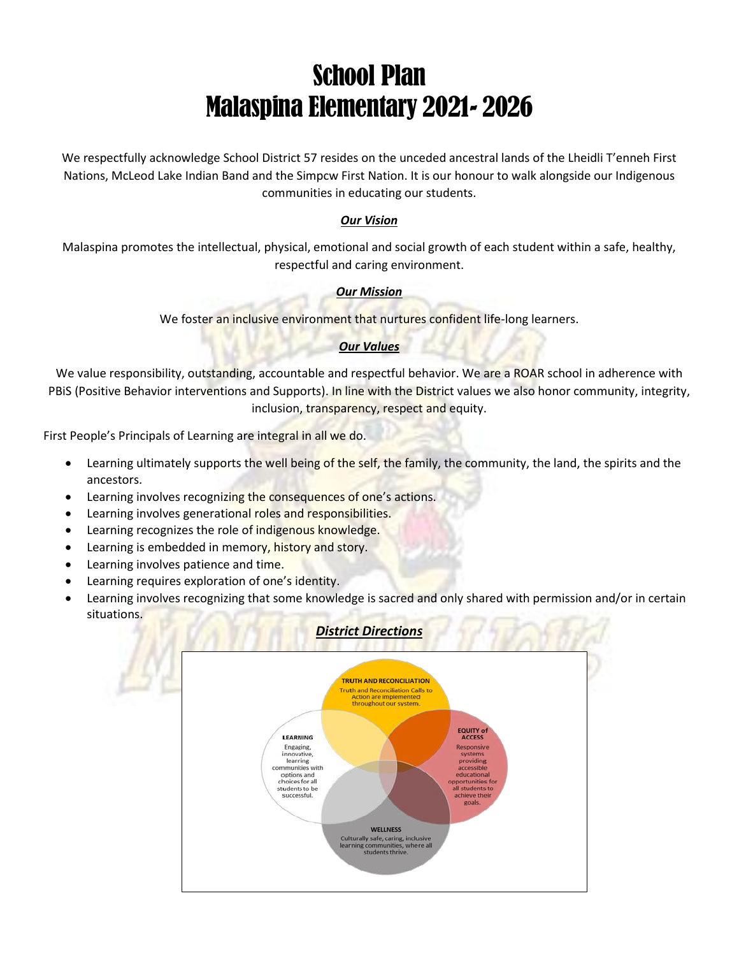# School Plan Malaspina Elementary 2021- 2026

We respectfully acknowledge School District 57 resides on the unceded ancestral lands of the Lheidli T'enneh First Nations, McLeod Lake Indian Band and the Simpcw First Nation. It is our honour to walk alongside our Indigenous communities in educating our students.

## *Our Vision*

Malaspina promotes the intellectual, physical, emotional and social growth of each student within a safe, healthy, respectful and caring environment.

## *Our Mission*

We foster an inclusive environment that nurtures confident life-long learners.

#### *Our Values*

We value responsibility, outstanding, accountable and respectful behavior. We are a ROAR school in adherence with PBIS (Positive Behavior interventions and Supports). In line with the District values we also honor community, integrity, inclusion, transparency, respect and equity.

First People's Principals of Learning are integral in all we do.

- **•** Learning ultimately supports the well being of the self, the family, the community, the land, the spirits and the ancestors.
- Learning involves recognizing the consequences of one's actions.
- **•** Learning involves generational roles and responsibilities.
- Learning recognizes the role of indigenous knowledge.
- Learning is embedded in memory, history and story.
- Learning involves patience and time.
- Learning requires exploration of one's identity.
- Learning involves recognizing that some knowledge is sacred and only shared with permission and/or in certain situations.

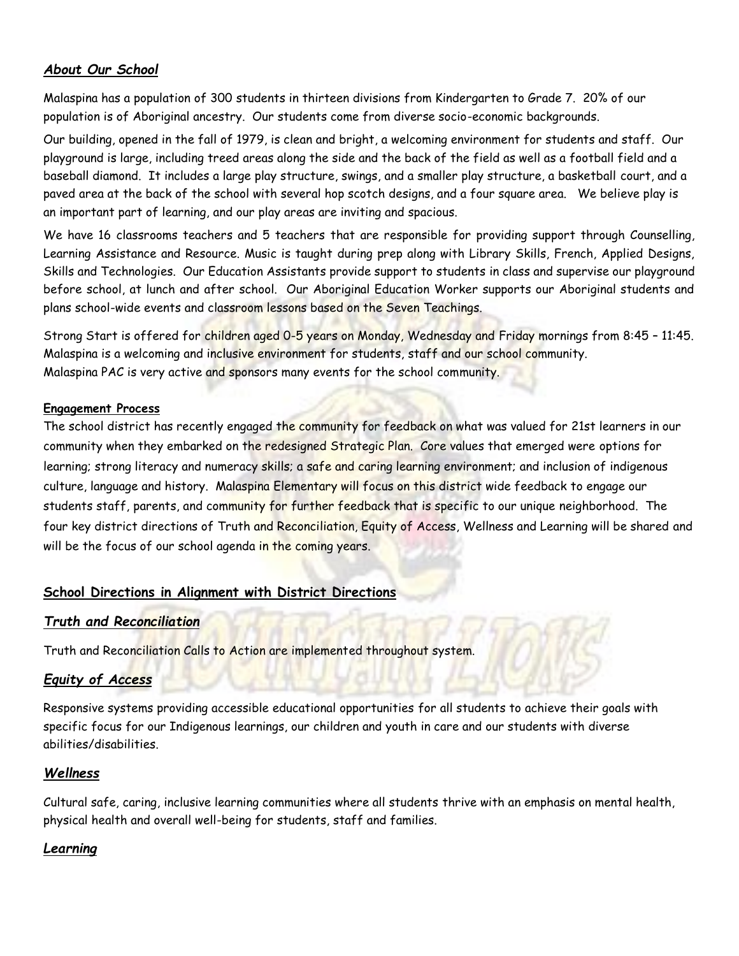# *About Our School*

Malaspina has a population of 300 students in thirteen divisions from Kindergarten to Grade 7. 20% of our population is of Aboriginal ancestry. Our students come from diverse socio-economic backgrounds.

Our building, opened in the fall of 1979, is clean and bright, a welcoming environment for students and staff. Our playground is large, including treed areas along the side and the back of the field as well as a football field and a baseball diamond. It includes a large play structure, swings, and a smaller play structure, a basketball court, and a paved area at the back of the school with several hop scotch designs, and a four square area. We believe play is an important part of learning, and our play areas are inviting and spacious.

We have 16 classrooms teachers and 5 teachers that are responsible for providing support through Counselling, Learning Assistance and Resource. Music is taught during prep along with Library Skills, French, Applied Designs, Skills and Technologies. Our Education Assistants provide support to students in class and supervise our playground before school, at lunch and after school. Our Aboriginal Education Worker supports our Aboriginal students and plans school-wide events and classroom lessons based on the Seven Teachings.

Strong Start is offered for children aged 0-5 years on Monday, Wednesday and Friday mornings from 8:45 – 11:45. Malaspina is a welcoming and inclusive environment for students, staff and our school community. Malaspina PAC is very active and sponsors many events for the school community.

#### **Engagement Process**

The school district has recently engaged the community for feedback on what was valued for 21st learners in our community when they embarked on the redesigned Strategic Plan. Core values that emerged were options for learning; strong literacy and numeracy skills; a safe and caring learning environment; and inclusion of indigenous culture, language and history. Malaspina Elementary will focus on this district wide feedback to engage our students staff, parents, and community for further feedback that is specific to our unique neighborhood. The four key district directions of Truth and Reconciliation, Equity of Access, Wellness and Learning will be shared and will be the focus of our school agenda in the coming years.

## **School Directions in Alignment with District Directions**

## *Truth and Reconciliation*

Truth and Reconciliation Calls to Action are implemented throughout system.

## *Equity of Access*

Responsive systems providing accessible educational opportunities for all students to achieve their goals with specific focus for our Indigenous learnings, our children and youth in care and our students with diverse abilities/disabilities.

## *Wellness*

Cultural safe, caring, inclusive learning communities where all students thrive with an emphasis on mental health, physical health and overall well-being for students, staff and families.

## *Learning*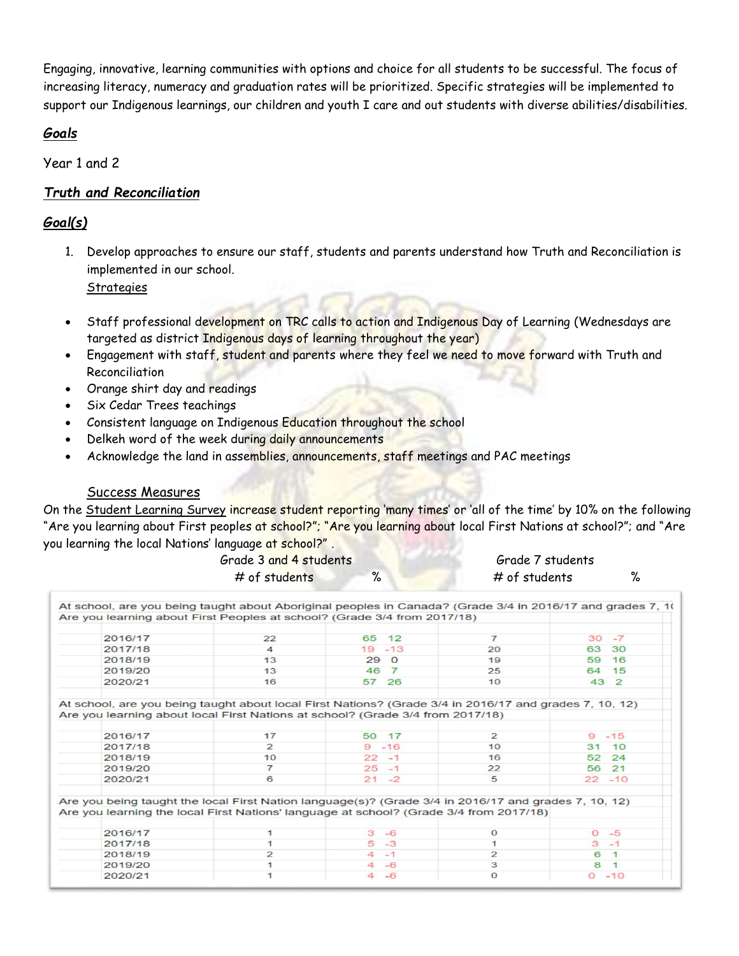Engaging, innovative, learning communities with options and choice for all students to be successful. The focus of increasing literacy, numeracy and graduation rates will be prioritized. Specific strategies will be implemented to support our Indigenous learnings, our children and youth I care and out students with diverse abilities/disabilities.

## *Goals*

Year 1 and 2

# *Truth and Reconciliation*

# *Goal(s)*

1. Develop approaches to ensure our staff, students and parents understand how Truth and Reconciliation is implemented in our school.

**Strategies** 

- Staff professional development on TRC calls to action and Indigenous Day of Learning (Wednesdays are targeted as district Indigenous days of learning throughout the year)
- Engagement with staff, student and parents where they feel we need to move forward with Truth and Reconciliation
- Orange shirt day and readings
- Six Cedar Trees teachings
- **•** Consistent language on Indigenous Education throughout the school
- Delkeh word of the week during daily announcements
- Acknowledge the land in assemblies, announcements, staff meetings and PAC meetings

# Success Measures

On the Student Learning Survey increase student reporting 'many times' or 'all of the time' by 10% on the following "Are you learning about First peoples at school?"; "Are you learning about local First Nations at school?"; and "Are you learning the local Nations' language at school?" .

| Grade 3 and 4 students |  |               | Grade 7 students |  |  |
|------------------------|--|---------------|------------------|--|--|
| # of students          |  | # of students |                  |  |  |

| Are you learning about First Peoples at school? (Grade 3/4 from 2017/18)                               |                        |                        |                |            |
|--------------------------------------------------------------------------------------------------------|------------------------|------------------------|----------------|------------|
|                                                                                                        |                        |                        |                |            |
| 2016/17                                                                                                | 22                     | 65 12                  | $\overline{7}$ | $-7$<br>30 |
| 2017/18                                                                                                | $\boldsymbol{\Lambda}$ | $19 - 13$              | 20             | 63<br>30   |
| 2018/19                                                                                                | 13                     | 29 <sub>0</sub>        | 19             | 16<br>59   |
| 2019/20                                                                                                | 13                     | 46 7                   | 25             | 64 15      |
| 2020/21                                                                                                | 16                     | 57 26                  | 10             | 43 2       |
| At school, are you being taught about local First Nations? (Grade 3/4 in 2016/17 and grades 7, 10, 12) |                        |                        |                |            |
| Are you learning about local First Nations at school? (Grade 3/4 from 2017/18)                         |                        |                        |                |            |
| 2016/17                                                                                                | 17                     | 50 17                  | $\overline{2}$ | $-15$<br>9 |
| 2017/18                                                                                                | $\overline{2}$         | $9 - 16$               | 10             | 31 10      |
| 2018/19                                                                                                | 10                     | $22 - 1$               | 16             | 52<br>24   |
| 2019/20                                                                                                | $\overline{7}$         | $25 - 1$               | 22             | 56 21      |
| 2020/21                                                                                                | 6                      | $21 - 2$               | 5              | $22 - 10$  |
| Are you being taught the local First Nation language(s)? (Grade $3/4$ in 2016/17 and grades 7, 10, 12) |                        |                        |                |            |
| Are you learning the local First Nations' language at school? (Grade 3/4 from 2017/18)                 |                        |                        |                |            |
| 2016/17                                                                                                |                        | 3<br>$-6$              | $\Omega$       | $0 - 5$    |
| 2017/18                                                                                                |                        | $5 - 3$                | $\mathbf{1}$   | $3 - 1$    |
| 2018/19                                                                                                |                        | $4 - 1$                | $\overline{2}$ | 6          |
| 2019/20                                                                                                |                        | $\overline{4}$<br>$-6$ | 3              | 8          |
| 2020/21                                                                                                |                        | $-6$<br>4              | $\mathbf{O}$   | $0 - 10$   |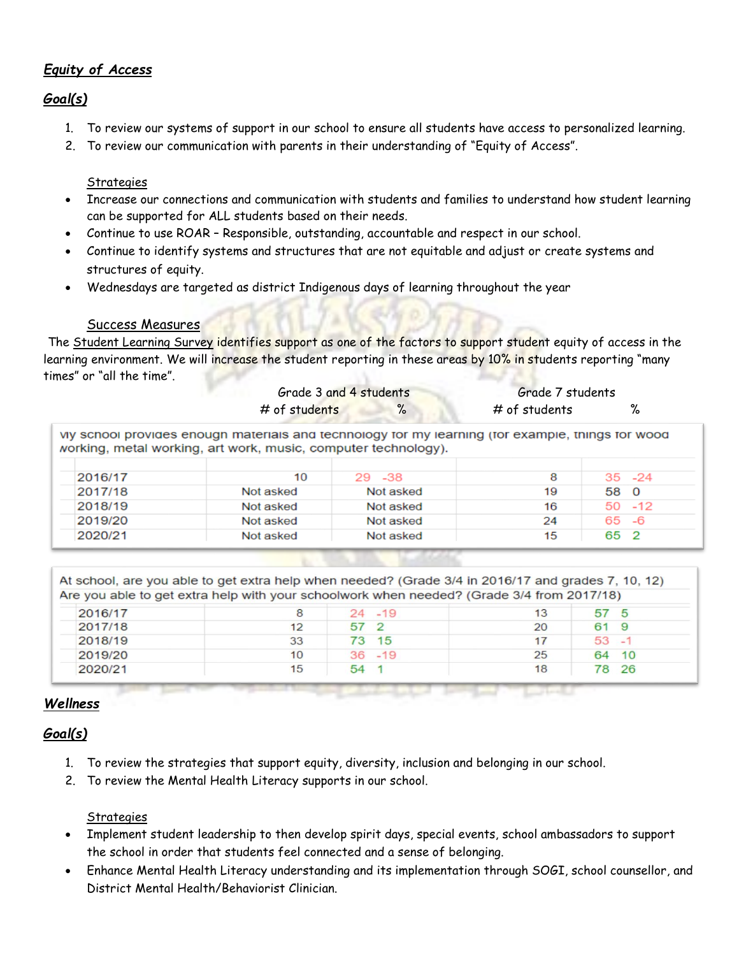# *Equity of Access*

# *Goal(s)*

- 1. To review our systems of support in our school to ensure all students have access to personalized learning.
- 2. To review our communication with parents in their understanding of "Equity of Access".

## **Strategies**

- Increase our connections and communication with students and families to understand how student learning can be supported for ALL students based on their needs.
- Continue to use ROAR Responsible, outstanding, accountable and respect in our school.
- Continue to identify systems and structures that are not equitable and adjust or create systems and structures of equity.
- Wednesdays are targeted as district Indigenous days of learning throughout the year

## Success Measures

The Student Learning Survey identifies support as one of the factors to support student equity of access in the learning environment. We will increase the student reporting in these areas by 10% in students reporting "many times" or "all the time".

|         |                                                                                                                                                                       | Grade 3 and 4 students |               | Grade 7 students |
|---------|-----------------------------------------------------------------------------------------------------------------------------------------------------------------------|------------------------|---------------|------------------|
|         | # of students                                                                                                                                                         | $\%$                   | # of students | %                |
|         | Vivis school provides enough materials and technology for my learning (for example, things for wood<br>working, metal working, art work, music, computer technology). |                        |               |                  |
| 2016/17 | 10                                                                                                                                                                    | 29 - 38                | 8             | $35 - 24$        |
| 2017/18 | Not asked                                                                                                                                                             | Not asked              | 19            | 58 0             |
| 2018/19 | Not asked                                                                                                                                                             | Not asked              | 16            | $50 - 12$        |
| 2019/20 | Not asked                                                                                                                                                             | Not asked              | 24            | $-6$<br>65       |

Not asked

 $\overline{2}$ 

65

15

| At school, are you able to get extra help when needed? (Grade 3/4 in 2016/17 and grades 7, 10, 12) |  |
|----------------------------------------------------------------------------------------------------|--|
| Are you able to get extra help with your schoolwork when needed? (Grade 3/4 from 2017/18)          |  |

| 2016/17 | 8  | $24 - 19$ | 13 | 57                 |
|---------|----|-----------|----|--------------------|
| 2017/18 | 12 | 57        | 20 | $\sim$ $\sim$<br>9 |
| 2018/19 | 33 | 15<br>73  |    | 53<br>$-1$         |
| 2019/20 | 10 | $36 - 19$ | 25 | 64<br>10           |
| 2020/21 | 15 | 54        | 18 | 26<br>78           |

# *Wellness*

2020/21

# *Goal(s)*

- 1. To review the strategies that support equity, diversity, inclusion and belonging in our school.
- 2. To review the Mental Health Literacy supports in our school.

Not asked

## **Strategies**

- Implement student leadership to then develop spirit days, special events, school ambassadors to support the school in order that students feel connected and a sense of belonging.
- Enhance Mental Health Literacy understanding and its implementation through SOGI, school counsellor, and District Mental Health/Behaviorist Clinician.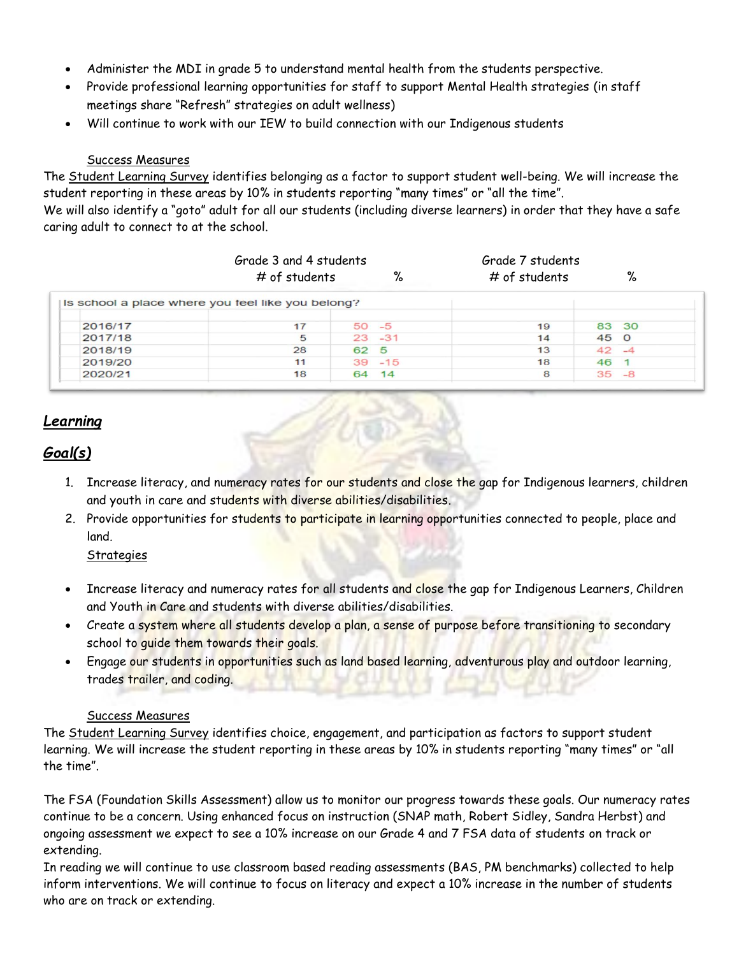- Administer the MDI in grade 5 to understand mental health from the students perspective.
- Provide professional learning opportunities for staff to support Mental Health strategies (in staff meetings share "Refresh" strategies on adult wellness)
- Will continue to work with our IEW to build connection with our Indigenous students

#### Success Measures

The Student Learning Survey identifies belonging as a factor to support student well-being. We will increase the student reporting in these areas by 10% in students reporting "many times" or "all the time".

We will also identify a "goto" adult for all our students (including diverse learners) in order that they have a safe caring adult to connect to at the school.

|         | Grade 3 and 4 students                            |           | Grade 7 students |               |      |          |
|---------|---------------------------------------------------|-----------|------------------|---------------|------|----------|
|         | # of students                                     |           | %                | # of students |      | %        |
|         | Is school a place where you feel like you belong? |           |                  |               |      |          |
| 2016/17 | 17                                                | $50 - 5$  |                  | 19            |      | 83 30    |
| 2017/18 | 5                                                 | $23 - 31$ |                  | 14            | 45 0 |          |
| 2018/19 | 28                                                | 62 5      |                  | 13            |      | $42 - 4$ |
| 2019/20 | 11                                                | $39 - 15$ |                  | 18            | 46 1 |          |
| 2020/21 | 18                                                | 64 14     |                  | 8             |      | $35 - 8$ |

# *Learning*

# *Goal(s)*

- 1. Increase literacy, and numeracy rates for our students and close the gap for Indigenous learners, children and youth in care and students with diverse abilities/disabilities.
- 2. Provide opportunities for students to participate in learning opportunities connected to people, place and land.

## **Strategies**

- Increase literacy and numeracy rates for all students and close the gap for Indigenous Learners, Children and Youth in Care and students with diverse abilities/disabilities.
- Create a system where all students develop a plan, a sense of purpose before transitioning to secondary school to guide them towards their goals.
- Engage our students in opportunities such as land based learning, adventurous play and outdoor learning, trades trailer, and coding.

#### Success Measures

The Student Learning Survey identifies choice, engagement, and participation as factors to support student learning. We will increase the student reporting in these areas by 10% in students reporting "many times" or "all the time".

The FSA (Foundation Skills Assessment) allow us to monitor our progress towards these goals. Our numeracy rates continue to be a concern. Using enhanced focus on instruction (SNAP math, Robert Sidley, Sandra Herbst) and ongoing assessment we expect to see a 10% increase on our Grade 4 and 7 FSA data of students on track or extending.

In reading we will continue to use classroom based reading assessments (BAS, PM benchmarks) collected to help inform interventions. We will continue to focus on literacy and expect a 10% increase in the number of students who are on track or extending.